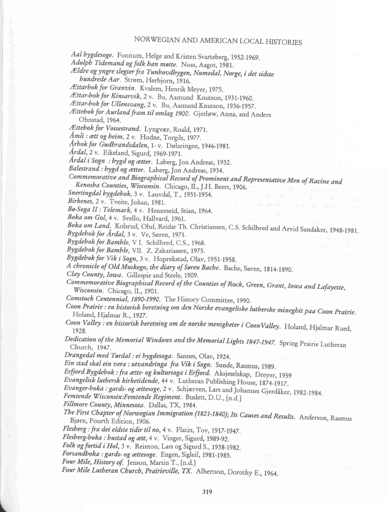## NORWEGIAN AND AMERICAN LOCAL HISTORIES

Aal bygdesoge. Fonnum, Helge and Kristen Svarteberg, 1952-1969.

Adolph Tidemand og folk han møtte. Noss, Aagot, 1981.

zEldre ogyngre slegterfra Tunhovdbygen, Numedal, Norge, i det sidste hundrede Aar. Strom, Herbjorn, 1916.

/Ettarhok for Granvin. Kvalem, Henrik Meyer, 1975.

Ættar-bok for Kinsarvik, 2 v. Bu, Aamund Knutson, 1931-1960.

Ættar-bok for Ullensvang, 2 v. Bu, Aamund Knutson, 1936-1957.

/Ettebok for Aurlandfram til omlag 1900. Gjerlow, Anna, and Anders Ohnstad, 1964.

Ættebok for Vossestrand. Lyngvær, Roald, 1971.

Åmli : ætt og heim, 2 v. Hodne, Torgils, 1977.

Arbok for Gudbrandsdalen, 1-v. Dølaringen, 1946-1981.

Árdal, 2 v. Eikeland, Sigurd, 1969-1971.

Årdal i Sogn : bygd og ætter. Laberg, Jon Andreas, 1932.

Balestrand : bygd og ætter. Laberg, Jon Andreas, 1934.

Commemorative and Biographical Record of Prominent and Representative Men of Racine and<br>Kenosha Counties, Wisconsin. Chicago, IL, J.H. Beers, 1906. Kenosha Counties, Wisconsin. Chicago, IL, ].H. Beers, 1906.

Snertingdal bygdebok, 3 v. Lauvdal, T., 1951-1954.

Birkenes, 2 v. Tveite, Johan, 1981.

Ba-Soga II: Telemark, 4 v. Henneseid, Stian, 1964.

Boka om Gol, 4 v. Svello, Hallvard, 1961.

Boka om Land. Kolsrud, Oluf, Reidar Th. Christiansen, C.S. Schilbred and Arvid Sandaker, 1948-1981.

Bygdebok for Ardal, 3 v. Ve, Søren, 1971.

Bygdebok for Bamble, V I. Schilbred, C.S., 1968.

Bygdehok for Bamhle, VII. Z. Zakariassen, 1975.

Bygdebok for Vik i Sogn, 3 v. Hoprekstad, Olav, 1951-1958.

A chronicle of Old Muskego, the diary of Saren Bache. Bache, Soren, 1814-1890.

Clay County, Iowa. Gillespie and Steele, 1909.

Commemorative Biographical Record of the Counties of Rock, Green, Grant, Iowa and Lafayette, Wisconsin. Chicago, IL, 1901.

Comstock Centennial, 1890-1990. The History Committee, 1990.

Coon Prairie : en historisk heretning om den Norske evangelisleelutherske mineghit paa Coon Prairie. Holand, Hjalmar R., 1927.

Coon Valley : en historisk beretning om de norske menigheter i CoonValley. Holand, Hjalmar Rued, 1928.

Dedication of the Memorial Windows and the Memorial Lights 1847-1947. Spring Prairie Lutheran Church, 1947.

Drangedal med Tardal : ei hygdesoga. Sannes, Olav, 1924.

Ein stad skal ein vera : utvandringa fra Vik i Sogn. Sunde, Rasmus, 1989.

Erfjord Bygdebok : fra ætte- og kultursoga i Erfjord. Aksjeselskap, Dreyer, 1959

Evangelisk luthersk kirketidende, 44 v. Lutheran Publishing House, 1874-1917.

Evanger-boka : gards- og ættesoge, 2 v. Schjærven, Lars and Johannes Gjerdåker, 1982-1984.

Femtende Wisconsin:Femtende Regiment. Buslett, D.U., [n.d.]

Fillmore County, Minnesota. Dallas, TX, 1984.

The First Chapter of Norwegian Immigration (1821-1840); Its Causes and Results. Anderson, Rasmus Bjørn, Fourth Edition. 1906.

Flesberg : fra dei eldste tidir til no, 4 v. Flatin, Tov, 1917-1947.

Flesberg-boka : bustad og ætt, 4 v. Vinger, Sigurd, 1989-92.

Folk og fortid i Hol, 3 v. Reinton, Lars og Sigurd S., 1938-1982.

Forsandhoka :gards- og aettesoge. Engen, Sigleif, 1981-1985.

Four Mile, History of. Jenson, Martin T., [n.d.]

Four Mile Lutheran Church, Prairieville, TX. Albertson, Dorothy E., 1964.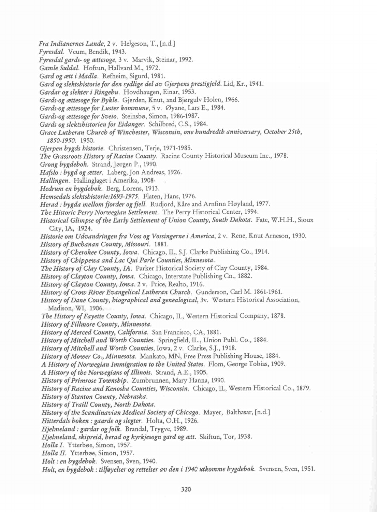Fra Indianernes Lande, 2 v. Helgeson, T., [n.d.] Fyresdal. Veum, Bendik, 1943. Fyresdal gards- og aettesoge, 3 v. Marvik, Steinar, 1992. Gamle Suldal. Hoftun, Hallvard M., 1972. Gard og ætt i Madla. Refheim, Sigurd, 1981. Gard og slektshistorie for den sydlige del av Gjerpens prestigield. Lid, Kr., 1941. Gardar og slekter i Ringebu. Hovdhaugen, Einar, 1953. Gards-og ættesoge for Bykle. Gjerden, Knut, and Bjørgulv Holen, 1966. Gards-og ættesoge for Luster kommune, 5 v. Øyane, Lars E., 1984. Gards-og ættesoge for Sveio. Steinsbø, Simon, 1986-1987. Gards og slektshistorien for Eidanger. Schilbred, C.S., 1984. Grace Lutheran Church of Winchester, Wisconsin,one hundredth anniversary, October 25th, 1850-1950. 1950. Gjerpen bygds historie. Christensen, Terje, 1971-1985. The Grassroots History of Racine County. Racine County Historical Museum Inc., 1978. Grong bygdebok. Strand, Jorgen P., 1990. Hafslo : bygd og ætter. Laberg, Jon Andreas, 1926. Hallingen. Hallinglaget i Amerika, 1908 Hedrum en bygdebok. Berg, Lorens, 1913. Hemsedals slektshistorie:1693-1975. Flaten, Hans, 1976. Herad : bygda mellom fjorder og fjell. Rudjord, Kåre and Arnfinn Høyland, 1977. The Historic Perry Norwegian Settlement. The Perry Historical Center, 1994. Historical Glimpse of the Early Settlement of Union County, South Dakota. Fate, W.H.H., Sioux City, IA, 1924. Historie om Udvandringen fra Voss og Vossingerne i America, 2 v. Rene, Knut Arneson, 1930. History of Buchanan County, Missouri. 1881. History of Cherokee County, Iowa. Chicago, IL, S.J. Clarke Publishing Co., 1914. History of Chippewa and Lac Qui Parle Counties, Minnesota. The History of Clay County, IA. Parker Historical Society of Clay County, 1984. History of Clayton County, Iowa. Chicago, Interstate Publishing Co., 1882. History of Clayton County, Iowa. 2 v. Price, Realto, 1916. History of Crow River Evangelical Lutheran Church. Gunderson, Carl M. 1861-1961. History of Dane County, biographical and genealogical, 3v. Western Historical Association, Madison, WI, 1906. The History of Fayette County, Iowa. Chicago, IL, Western Historical Company, 1878. History of Fillmore County, Minnesota. History of Merced County, California. San Francisco, CA, 1881. History of Mitchell and Worth Counties. Springfield, IL., Union Publ. Co., 1884. History of Mitchell and Worth Counties, Iowa, 2 v. Clarke, S.J., 1918. History of Mower Co., Minnesota. Mankato, MN, Free Press Publishing House, 1884. A History of Norwegian Immigration to the United States. Flom, George Tobias, 1909. A History of the Norwegians of Illinois. Strand, A.E., 1905. History of Primrose Township. Zumbrunnen, Mary Hanna, 1990. History of Racine and Kenosha Counties, Wisconsin. Chicago, IL, Western Historical Co., 1879. History of Stanton County, Nebraska. History of Traill County, North Dakota. History of the Scandinavian Medical Society of Chicago. Mayer, Balthasar, [n.d.] Hitterdals boken : gaarde og slegter. Holta, O.H., 1926. Hjelmeland : gardar og folk. Brandal, Trygve, 1989. Hjelmeland, skipreid, herad og kyrkjesogn gard og ætt. Skiftun, Tor, 1938. Holla I. Ytterbøe, Simon, 1957. Holla II. Ytterbøe, Simon, 1957. Holt : en bygdebok. Svensen, Sven, 1940. Holt, en bygdebok : tilfayelser og rettelser av den i 1940 utkomme bygdebok. Svensen, Sven, 1951.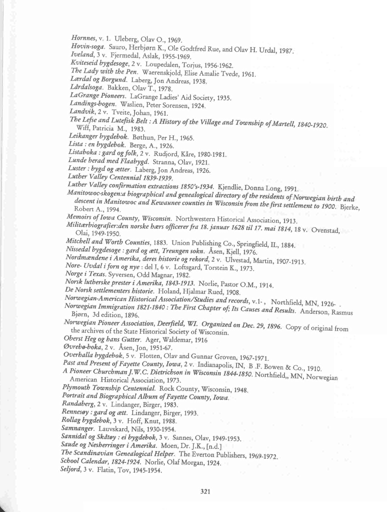Hornnes, v. 1. Uleberg, Olav O., 1969.

Hovin-soga. Sauro, Herbjorn K., Ole Godtfred Rue, and Olav H. Urdal, 1987.

Iveland, 3 v. Fjermedal, Aslak, 1955-1969.

Kviteseid hygdesoge, 2 v. Loupedalen, Torjus, 1956-1962.

The Lady with the Pen. Waerenskjold, Elise Amalie Tvede, 1961.

Lærdal og Borgund. Laberg, Jon Andreas, 1938.

Ldrdalsoga. Bakken, Olav T., 1978.

LaGrange Pioneers. LaGrange Ladies' Aid Society, 1935.

Landings-bogen. Waslien, Peter Sorensen, 1924.

Landvik, 2 v. Tveite, Johan, 1961.

The Lefse and Lutefisk Belt : A History of the Village and Township of Martell, 1840-1920.<br>Wiff, Patricia M., 1983.

Leikanger bygdebok. Bøthun, Per H., 1965.

Lista : en bygdebok. Berge, A., 1926.

Listaboka : gard og folk, 2 v. Rudjord, Kåre, 1980-1981.

Lunde herad med Flaabygd. Stranna, Olav, 1921.

Luster: bygd og ætter. Laberg, Jon Andreas, 1926.

Luther Valley Centennial 1839-1939.

Luther Valley confirmation extractions 1850's-1934. Kjendlie, Donna Long, 1991.

Manitowoc-skogen:a biographical and genealogical directory of the residents of Norwegian birth and descent in Manitowoc and Kewaunee counties in Wisconsin from the first settlement to 1900. Bjerke,

Memoirs of Iowa County, Wisconsin. Northwestern Historical Association, 1913.

Militærbiografier: den norske hærs officerer fra 18. januar 1628 til 17. mai 1814, 18 v. Ovenstad, Olai, 1949-1950.

Mitchell and Worth Counties, 1883. Union Publishing Co., Springfield, IL, 1884.

Nissedal bygdesoge : gard og ætt, Treungen sokn. Åsen, Kjell, 1976.

Nordmændene i Amerika, deres historie og rekord, 2 v. Ulvestad, Martin, 1907-1913.

Nore- Uvdal i forn og nye : del I, 6 v. Loftsgard, Torstein K., 1973.

Norge i Texas. Syversen, Odd Magnar, 1982.

Norsk lutherske prester i Amerika, 1843-1913. Norlie, Pastor O.M., 1914.

De Norsk settlementers historie. Holand, Hjalmar Rued, 1908.<br>Norwegian-American Historical Association/Studies and records, v.1-, Northfield, MN, 1926-.  $N$ orwegian-Immigration, 1921-1940, The Fint Clear detector  $S$ , v.1-, Northfield, MN, 1926-

Bjørn, 3d edition, 1896. The First Chapter of; Its Causes and Results. Anderson, Rasmus

Norwegian Pioneer Association, Deerfield, WI. Organized on Dec. 29, 1896. Copy of original from the archives of the State Historical Society of Wisconsin.

Oherst Heg og hans Gutter. Ager, Waldemar, 1916

Qvreho-hoka, 2 v. Asen, Jon, 1951-67.

Overhalla bygdebok, 5 v. Flotten, Olav and Gunnar Groven, 1967-1971.

Past and Present of Fayette County, Iowa, 2 v. Indianapolis, IN, B.F. Bowen & Co., 1910.

A Pioneer Churchman J.W.C. Dietrichson in Wisconsin 1844-1850. Northfield,, MN, Norwegian American Historical Association, 1973.

Plymouth Township Centennial. Rock County, Wisconsin, 1948.

Portrait and Biographical Album of Fayette County, Iowa.

Randaherg, 2 v. Lindanger, Birger, 1983.

Rennesøy : gard og ætt. Lindanger, Birger, 1993.

Rollag bygdebok, 3 v. Hoff, Knut, 1988.

Samnanger. Lauvskard, Nils, 1930-1954.

Sannidal og Skåtøy : ei bygdebok, 3 v. Sannes, Olav, 1949-1953.

Saude og Nesherringer i Amerika. Moen, Dr. ].K., [n.d.]

Yhe Scandinavian Genealogical Helper. The Everton Publishers, 1969-1972.

School Calendar, 1824-1924. Norlie, Olaf Morgan, 1924.

Seljord, 3 v. Flatin, Tov, 1945-1954.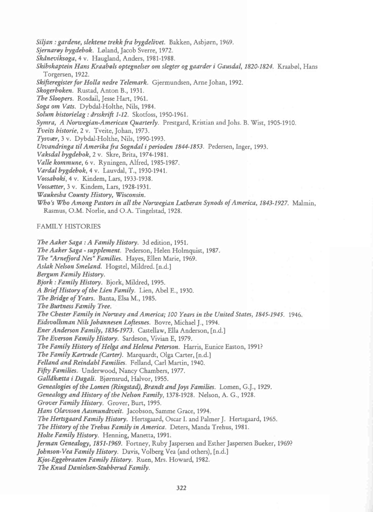Siljan : gardene, slektene trekk fra bygdelivet. Bakken, Asbjørn, 1969.

Sjernarøy bygdebok. Løland, Jacob Sverre, 1972.

Skdneviksoga, 4 v. Haugland, Anders, 1981-1988.

Skibskaptein Hans Kraabøls optegnelser om slegter og gaarder i Gausdal, 1820-1824. Kraabøl, Hans Torgersen, 1922.

Skifteregister for Holla nedre Telemark. Gjermundsen, Arne Johan, 1992.

Skogerboken. Rustad, Anton B., 1931.

The Sloopers. Rosdail, Jesse Hart, 1961.

Soga om Vats. Dybdal-Holthe, Nils, 1984.

Solum historielag : drsskrift 1-12. Skotfoss, 1950-1961.

Symra, A Norwegian-American Quarterly. Prestgard, Kristian and Johs. B. Wist, 1905-1910.

Tveits historie, 2 v. Tveite, Johan, 1973.

Tyswer, 3 V. Dybdal-Holthe, Nils, 1990-1993.

Utvandringa til Amerika fra Sogndal i perioden 1844-1853. Pedersen, Inger, 1993.

Vaksdal bygdebok, 2 v. Skre, Brita, 1974-1981.

Valle kommune, 6 v. Ryningen, Alfred, 1985-1987.

Vardal bygdehok, 4 v. Lauvdal, T., 1930-1941.

Vossaboki, 4 v. Kindem, Lars, 1933-1938.

Vossaetter, 3 v. Kindem, Lars, 1928-1931.

Waukesha County History, Wisconsin.

Who's Who Among Pastors in all the Norwegian Lutheran Synods of America, 1843-1927. Malmin, Rasmus, O.M. Norlie, and O.A. Tingelstad, 1928.

## FAMILY HISTORIES

The Aaker Saga : A Family History. 3d edition, 1951. The Aaker Saga - supplement. Pederson, Helen Holmquist, 1987. The "Arnefjord Nes" Families. Hayes, Ellen Marie, 1969. Aslak Nelson Smeland. Hogstel, Mildred. [n.d.] Bergum Family History. Bjork : Family History. Bjork, Mildred, 1995. A Brief History of the Lien Family. Lien, Abel E., 1930. The Bridge of Years. Banta, Elsa M., 1985. The Burtness Family Tree. The Chester Family in Norway and America; 100 Years in the United States, 1845-1945. 1946. Eidsvollsman Nils Johannesen Loftesnes. Bovre, Michael J., 1994. Ener Anderson Family, 1836-1973. Castellaw, Ella Anderson, [n.d.] The Everson Family History. Sardeson, Vivian E, 1979. The Family History of Helga and Helena Peterson. Harris, Eunice Easton, 1991? The Family Kartrude (Carter). Marquardt, Olga Carter, [n.d.] Felland and Reindahl Families. Felland, Carl Martin, 1940. Fifty Families. Underwood, Nancy Chambers, 1977. Gallåkætta i Dagali. Bjørnsrud, Halvor, 1955. Genealogies of the Lomen (Ringstad), Brandt and Joys Families. Lomen, G.J., 1929. Genealogy and History of the Nelson Family, 1378-1928. Nelson, A. G., 1928. Grover Family History. Grover, Burt, 1995. Hans Olavsson Aasmundtveit. Jacobson, Samme Grace, 1994. The Hertsgaard Family History. Hertsgaard, Oscar I. and Palmer J. Hertsgaard, 1965. The History of the Trehus Family in America. Deters, Manda Trehus, 1981. Holte Family History. Henning, Manetta, 1991. ferman Genealogy, 1851-1969. Fortney, Ruby Jaspersen and Esther Jaspersen Bueker, 1969? Johnson-Vea Family History. Davis, Volberg Vea (and others), [n.d.] Kjos-Eggehraaten Family History. Ruen, Mrs. Howard, 1982. The Knud Danielsen-Stubberud Family.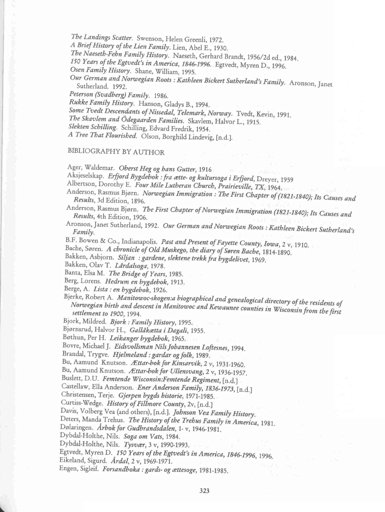The Landings Scatter. Swenson, Helen Greenli, 1972. A Brief History of the Lien Family. Lien, Abel E., 1930. The Naeseth-Fehn Family History. Naeseth, Gerhard Brandt, 1956/2d ed., 1984. 150 Years of the Egtvedt's in America, 1846-1996. Egtvedt, Myren D., 1996. Osen Family History. Shane, William, 1995. Our German and Norwegian Roots : Kathleen Bickert Sutherland's Family. Aronson, Janet Sutherland. 1992. Peterson (Svadherg) Family. 1986. Rukke Family History. Hanson, Gladys B., 1994. Some Tvedt Descendants of Nissedal, Telemark, Norway. Tvedt, Kevin, 1991. The Skavlem and Gdegaarden Families. Skavlem, Halvor L., 1915.

Slekten Schilling. Schilling, Edvard Fredrik, 1954.

A Tree That Flourished. Olson, Borghild Lindevig, [n.d.].

## BIBLIOGRAPHY BYAUTHOR

Ager, Waldemar. Oberst Heg og hans Gutter, 1916

Aksjeselskap. Erfjord Bygdebok : fra ætte- og kultursoga i Erfjord, Dreyer, 1959

Albertson, Dorothy E. Four Mile Lutheran Church, Prairieville, TX, 1964.

- Anderson, Rasmus Bjørn. Norwegian Immigration : The First Chapter of (1821-1840); Its Causes and<br>Results, 3d Edition. 1896.
- Anderson, Rasmus Bjørn. The First Chapter of Norwegian Immigration (1821-1840); Its Causes and<br>Results, 4th Edition. 1906.
- Aronson, Janet Sutherland, 1992. Our German and Norwegian Roots : Kathleen Bickert Sutherland's<br>Family.
- B.F. Bowen & Co., Indianapolis. Past and Present of Fayette County, Iowa, 2 v, 1910.

Bache, Søren. A chronicle of Old Muskego, the diary of Søren Bache, 1814-1890.

Bakken, Asbjorn. Siljan : gardene, slektene trekk fra bygdelivet, 1969.

Bakken, Olav T. Lårdalsoga, 1978.

Banta, Elsa M. The Bridge of Years, 1985.

Berg, Lorens. Hedrum en bygdebok, 1913.

Berge, A. *Lista : en bygdebok*, 1926.<br>Bjerke, Robert A. *Manitowoc-skogen:a biographical and genealogical directory of the residents of* Norwegian birth and descent in Manitowoc and Kensuma conditional directory of the residents of settlement to 1900, 1994.

Bjork, Mildred. Bjork : Family History, 1995.

Bjørnsrud, Halvor H., Gallåkætta i Dagali, 1955.

Bøthun, Per H. Leikanger bygdebok, 1965.

Bovre, Michael J. Eidsvollsman Nils Johannesen Loftesnes, 1994.

Brandal, Trygve. Hjelmeland : gardar og folk, 1989.

Bu, Aamund Knutson. Ættar-bok for Kinsarvik, 2 v, 1931-1960.

Bu, Aamund Knutson. Ættar-bok for Ullensvang, 2 v, 1936-1957.

Buslett, D.U. Femtende Wisconsin:Femtende Regiment, [n.d.]

Castellaw, Ella Anderson. Ener Anderson Family, 1836-1973, [n.d.]

Christensen, Terje. Gjerpen bygds historie, 1971-1985.

Curtiss-Wedge. History of Fillmore County, 2v, [n.d.]

Davis, Volberg Vea (and others), [n.d.]. Johnson Vea Family History.

Deters, Manda Trehus. The History of the Trehus Family in America, 1981.

Dolaringen. Arhok for Gudhrandsdalen, 1-v, 1946-1981.

Dybdal-Holthe, Nils. Soga om Vats, 1984.

Dybdal-Holthe, Nils. Tysvaer, 3 v, 1990-1993.

Egtvedt, Myren D. 150 Years of the Egtvedt's in America, 1846-1996, 1996.

Eikeland, Sigurd. Ardal, 2 V, 1969-1971.

Engen, Sigleif. Forsandboka : gards- og ættesoge, 1981-1985.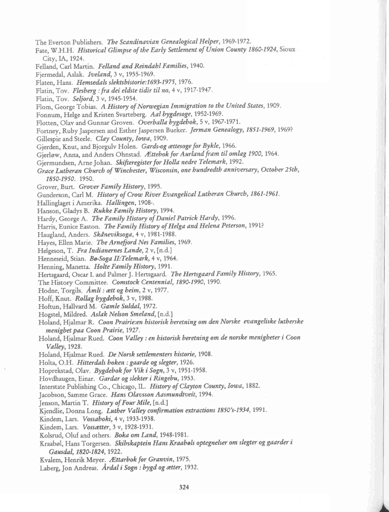The Everton Publishers. The Scandinavian Genealogical Helper, 1969-1972. Fate, W.H.H. Historical Glimpse of the Early Settlement of Union County 1860-1924, Sioux City, IA, 1924. Felland, Carl Martin. Felland and Reindahl Families, 1940. Fjermedal, Aslak. Iveland, 3 v, 1955-1969. Flaten, Hans. Hemsedals slektshistorie:1693-1975, 1976. Flatin, Tov. Flesberg : fra dei eldste tidir til no, 4 v, 1917-1947. Flatin, Tov. Seljord, 3 V, 1945-1954. Flom, George Tobias. A History of Norwegian Immigration to the United States, 1909. Fonnum, Helge and Kristen Svarteberg. Aal bygdesoge, 1952-1969. Flotten, Olav and Gunnar Groven. Overhalla bygdebok, 5 v, 1967-1971. Fortney, Ruby Jaspersen and Esther Jaspersen Bueker. Jerman Genealogy, 1851-1969, 1969? Gillespie and Steele. Clay County, Iowa, 1909. Gjerden, Knut, and Bjorgulv Holen. Gards-og ættesoge for Bykle, 1966. Gjerløw, Anna, and Anders Ohnstad. Ættebok for Aurland fram til omlag 1900, 1964. Gjermundsen, Arne Johan. Skifteregister for Holla nedre Telemark, 1992. Grace Lutheran Church of Winchester, Wisconsin,one hundredth anniversary, October 25th, 1850-1950. 1950. Grover, Burt. Grover Family History, 1995. Gunderson, Carl M. History of Crow River Evangelical Lutheran Church, 1861-1961. Hallinglaget i Amerika. Hallingen, 1908-. Hanson, Gladys B. Rukke Family History, 1994. Hardy, George A. The Family History of Daniel Patrick Hardy, 1996. Harris, Eunice Easton. The Family History of Helga and Helena Peterson, 1991? Haugland, Anders. Skdneviksoga, 4 v, 1981-1988. Hayes, Ellen Marie. The Arnefjord Nes Families, 1969. Helgeson, T. Fra Indianernes Lande, 2 v, [n.d.] Henneseid, Stian. Bø-Soga II: Telemark, 4 v, 1964. Henning, Manetta. Holte Family History, 1991. Hertsgaard, Oscar I. and Palmer J. Hertsgaard. The Hertsgaard Family History, 1965. The History Committee. Comstock Centennial, 1890-1990, 1990. Hodne, Torgils. Amli : ætt og heim, 2 v, 1977. Hoff, Knut. Rollag bygdebok, 3 v, 1988. Hoftun, Hallvard M. Gamle Suldal, 1972. Hogstel, Mildred. Aslak Nelson Smeland, [n.d.] Holand, Hjalmar R. Coon Prairie:en historisk beretning om den Norske evangeliske lutherske menighet paa Coon Prairie, 1927. Holand, Hjalmar Rued. Coon Valley : en historisk heretning om de norske menigheter i Coon Valley, 1928. Holand, Hjalmar Rued. De Norsk settlementers historie, 1908. Holta, O.H. Hitterdals boken : gaarde og slegter, 1926. Hoprekstad, Olav. Bygdebok for Vik i Sogn, 3 v, 1951-1958. Hovdhaugen, Einar. Gardar og slekter i Ringebu, 1953. Interstate Publishing Co., Chicago, IL. History of Clayton County, Iowa, 1882. Jacobson, Samme Grace. Hans Olavsson Aasmundtveit, 1994. Jenson, Martin T. History of Four Mile, [n.d.] Kjendlie, Donna Long. Luther Valley confirmation extractions 1850's-1934, 1991. Kindem, Lars. Vossaboki, 4 v, 1933-1938. Kindem, Lars. Vossætter, 3 v, 1928-1931. Kolsrud, Oluf and others. Boka om Land, 1948-1981. Kraabøl, Hans Torgersen. Skibskaptein Hans Kraabøls optegnelser om slegter og gaarder i Gausdal, 1820-1824, 1922. Kvalem, Henrik Meyer. Ættarbok for Granvin, 1975. Laberg, Jon Andreas. Ardal i Sogn : bygd og ætter, 1932.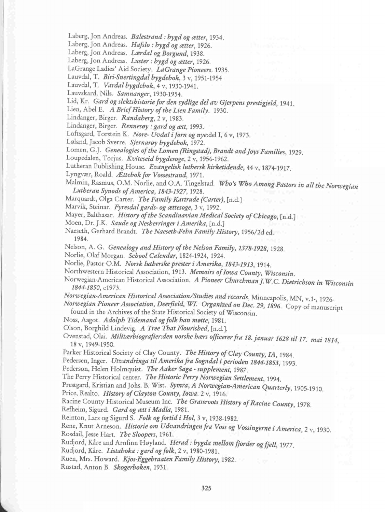Laberg, Jon Andreas. Balestrand : bygd og ætter, 1934.

Laberg, Jon Andreas. Hafslo : bygd og ætter, 1926.

Laberg, Jon Andreas. Lærdal og Borgund, 1938.

Laberg, Jon Andreas. Luster : bygd og ætter, 1926.

LaGrange Ladies' Aid Society. LaGrange Pioneers. 1935.

Lauvdal, T. Biri-Snertingdal bygdebok, 3 v, 1951-1954

Lauvdal, T. Vardal bygdebok, 4 v, 1930-1941.

Lauvskard, Nils. Samnanger, 1930-1954.

Lid, Kr. Gard og slektshistorie for den sydlige del av Gjerpens prestigjeld, 1941.

Lien, Abel E. A Brief History of the Lien Family. 1930.

Lindanger, Birger. Randaherg, 2 v, 1983.

Lindanger, Birger. Rennesøy : gard og ætt, 1993.

Loftsgard, Torstein K. Nore- Uvdal i forn og nye:del I, 6 v, 1973.

Løland, Jacob Sverre. Sjernarøy bygdebok, 1972.

Lomen, G.]. Genealogies of the Lomen (Ringstad), Brandt and joys Families, 1929.

Loupedalen, Torjus. Kviteseid bygdesoge, 2 v, 1956-1962.

Lutheran Publishing House. Evangelisk luthersk kirketidende, 44 v, 1874-1917.

Lyngvær, Roald. Ættebok for Vossestrand, 1971.

Malmin, Rasmus, O.M. Norlie, and O.A. Tingelstad. Who's Who Among Pastors in all the Norwegian Lutheran Synods of America, 1843-1927, 1928.

Marquardt, Olga Carter. The Family Kartrude (Carter), [n.d.]

Marvik, Steinar. Fyresdal gards- og ættesoge, 3 v, 1992.

Mayer, Balthasar. History of the Scandinavian Medical Society of Chicago, [n.d.]

Moen, Dr. J.K. Saude og Nesherringer i Amerika, [n.d.]

Naeseth, Gerhard Brandt. The Naeseth-Fehn Family History, 1956/2d ed.

1984.

Nelson, A. G. Genealogy and History of the Nelson Family, 1378-1928, 1928.

Norlie, Olaf Morgan. School Calendar, 1824-1924, 1924.

Norlie, Pastor O.M. Norsk lutherske prester i Amerika, 1843-1913, 1914.

Northwestern Historical Association, 1913. Memoirs of Iowa County, Wisconsin.

Norwegian-American Historical Association. A Pioneer Churchman J.W.C. Dietrichson in Wisconsin I844-1850, C1973.

Norwegian-American Historical Association/Studies and records, Minneapolis, MN, v.1-, 1926

Norwegian Pioneer Association, Deerfield, WI. Organized on Dec. 29, 1896. Copy of manuscript found in the Archives of the State Historical Society of Wisconsin.

Noss, Aagot. Adolph Tidemand og folk han møtte, 1981.

Olson, Borghild Lindevig. A Tree That Flourished, [n.d.].

Ovenstad, Olai. Militærbiografier: den norske hærs officerer fra 18. januar 1628 til 17. mai 1814,<br>18 v, 1949-1950.

Parker Historical Society of Clay County. The History of Clay County, IA, 1984.

Pedersen, Inger. Utvandringa til Amerika fra Sogndal i perioden 1844-1853, 1993.

Pederson, Helen Holmquist. The Aaker Saga - supplement, 1987.

The Perry Historical center. The Historic Perry Norwegian Settlement, 1994.

Prestgard, Kristian and Johs. B. Wist. Symra, A Norwegian-American Quarterly, 1905-1910,

Price, Realto. History of Clayton County, Iowa. 2 v, 1916.

Racine County Historical Museum Inc. The Grassroots History of Racine County, 1978,

Refheim, Sigurd. Gard og ætt i Madla, 1981.

Reinton, Lars og Sigurd S. Folk og fortid i Hol, 3 v, 1938-1982.

Rene, Knut Arneson. Historie om Udvandringen fra Voss og Vossingerne i America, 2 v, 1930. Rosdail, Jesse Hart. The Sloopers, 1961.

Rudjord, Kåre and Arnfinn Høyland. Herad : bygda mellom fjorder og fjell, 1977.

Rudjord, Kåre. Listaboka : gard og folk, 2 v, 1980-1981.

Ruen, Mrs. Howard. Kjos-Eggebraaten Family History, 1982.

Rustad, Anton B. Skogerboken, 1931.